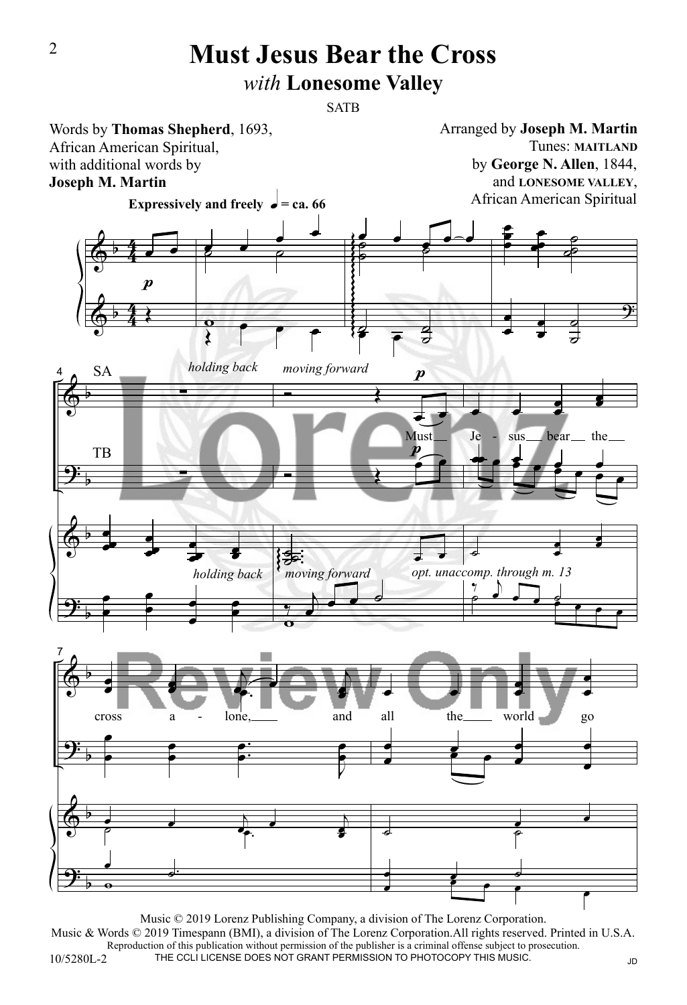## **Must Jesus Bear the Cross** *with* **Lonesome Valley**

**SATB** 



10/5280L-2 Music © 2019 Lorenz Publishing Company, a division of The Lorenz Corporation. Music & Words © 2019 Timespann (BMI), a division of The Lorenz Corporation.All rights reserved. Printed in U.S.A. Reproduction of this publication without permission of the publisher is a criminal offense subject to prosecution. THE CCLI LICENSE DOES NOT GRANT PERMISSION TO PHOTOCOPY THIS MUSIC. JD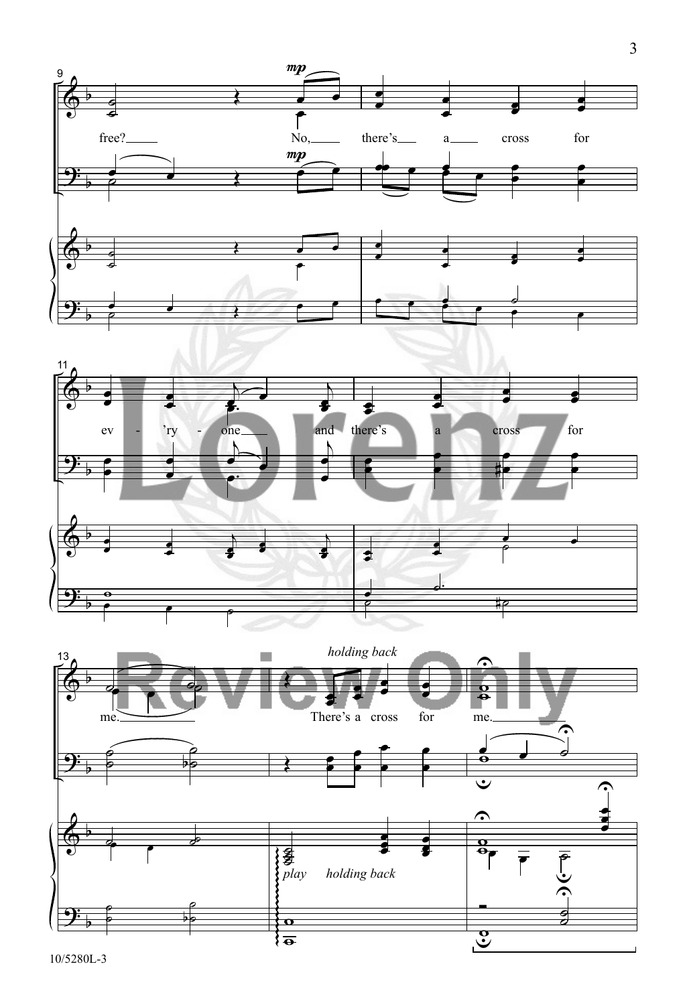





10/5280L-3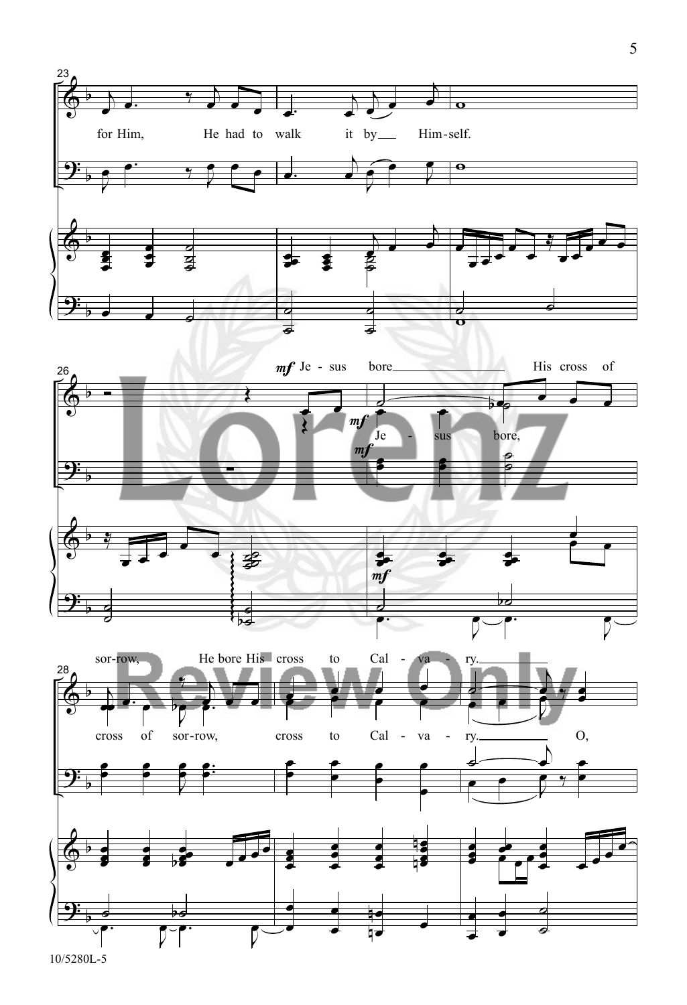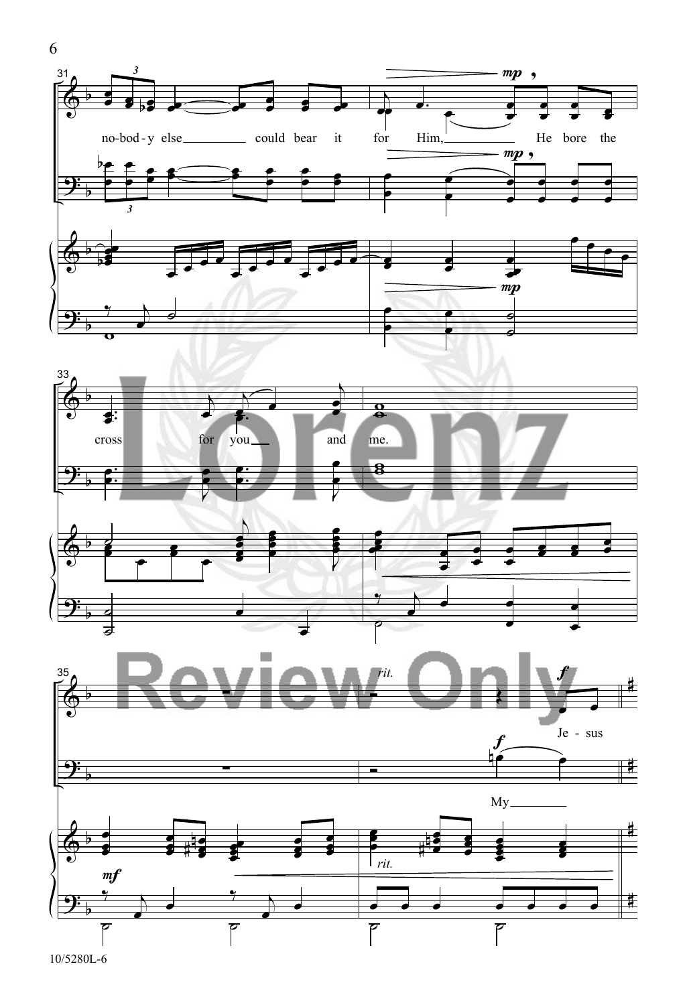





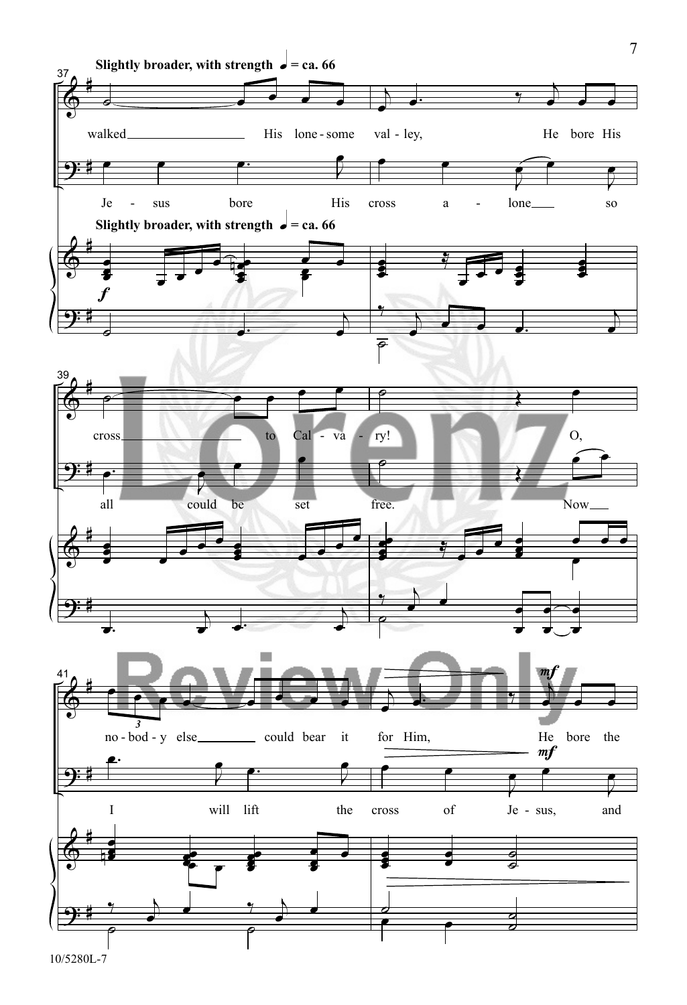